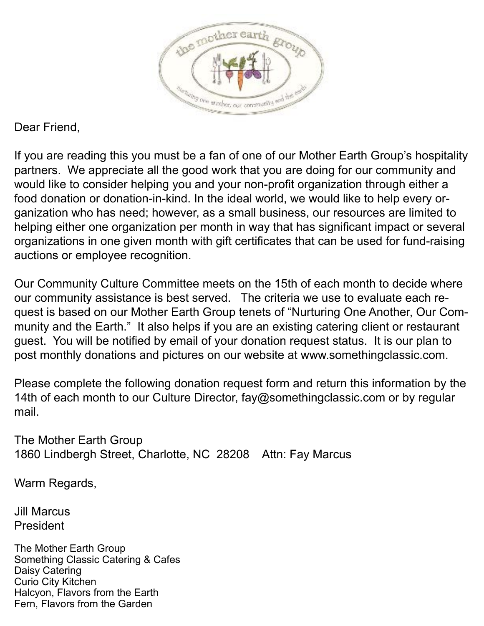

Dear Friend,

If you are reading this you must be a fan of one of our Mother Earth Group's hospitality partners. We appreciate all the good work that you are doing for our community and would like to consider helping you and your non-profit organization through either a food donation or donation-in-kind. In the ideal world, we would like to help every organization who has need; however, as a small business, our resources are limited to helping either one organization per month in way that has significant impact or several organizations in one given month with gift certificates that can be used for fund-raising auctions or employee recognition.

Our Community Culture Committee meets on the 15th of each month to decide where our community assistance is best served. The criteria we use to evaluate each request is based on our Mother Earth Group tenets of "Nurturing One Another, Our Community and the Earth." It also helps if you are an existing catering client or restaurant guest. You will be notified by email of your donation request status. It is our plan to post monthly donations and pictures on our website at www.somethingclassic.com.

Please complete the following donation request form and return this information by the 14th of each month to our Culture Director, fay@somethingclassic.com or by regular mail.

The Mother Earth Group 1860 Lindbergh Street, Charlotte, NC 28208 Attn: Fay Marcus

Warm Regards,

Jill Marcus President

The Mother Earth Group Something Classic Catering & Cafes Daisy Catering Curio City Kitchen Halcyon, Flavors from the Earth Fern, Flavors from the Garden